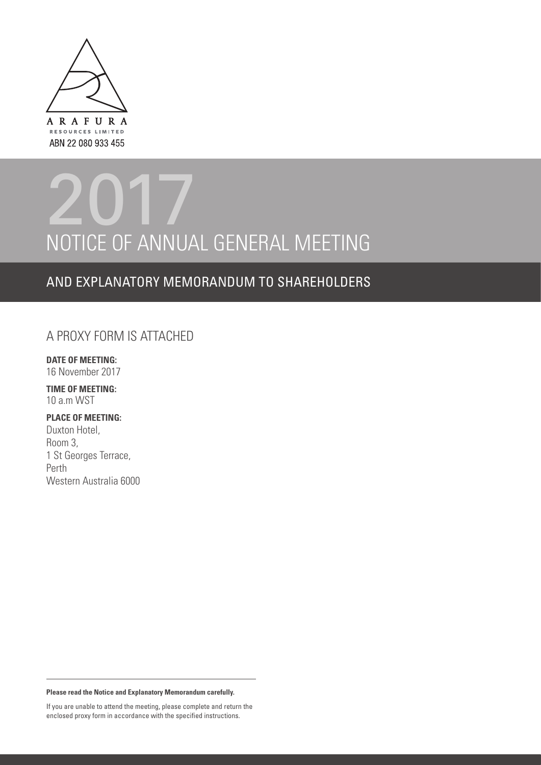

# NOTICE OF ANNUAL GENERAL MEETING 2017

# AND EXPLANATORY MEMORANDUM TO SHAREHOLDERS

# A PROXY FORM IS ATTACHED

**DATE OF MEETING:** 16 November 2017

**TIME OF MEETING:** 10 a.m WST

# **PLACE OF MEETING:**

Duxton Hotel, Room 3, 1 St Georges Terrace, Perth Western Australia 6000

**Please read the Notice and Explanatory Memorandum carefully.**

If you are unable to attend the meeting, please complete and return the enclosed proxy form in accordance with the specified instructions.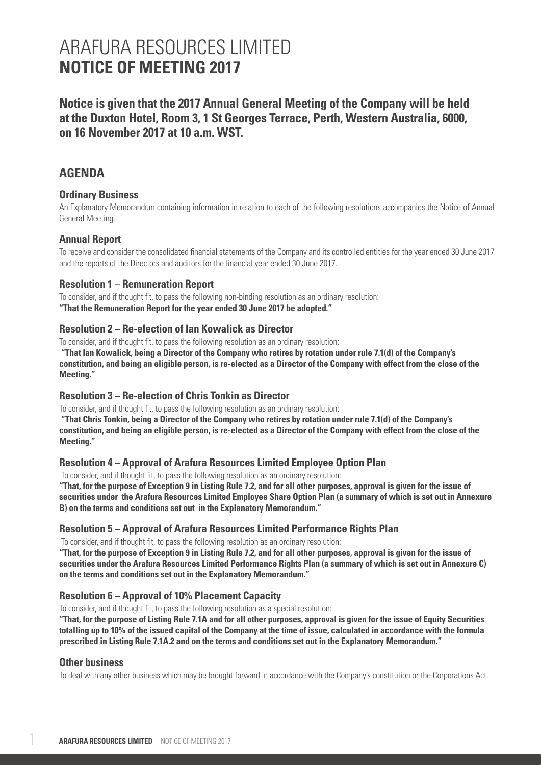**Notice is given that the 2017 Annual General Meeting of the Company will be held at the Duxton Hotel, Room 3, 1 St Georges Terrace, Perth, Western Australia, 6000, on 16 November 2017 at 10 a.m. WST.**

# **AGENDA**

### **Ordinary Business**

An Explanatory Memorandum containing information in relation to each of the following resolutions accompanies the Notice of Annual General Meeting.

### **Annual Report**

To receive and consider the consolidated financial statements of the Company and its controlled entities for the year ended 30 June 2017 and the reports of the Directors and auditors for the financial year ended 30 June 2017.

### **Resolution 1 – Remuneration Report**

To consider, and if thought fit, to pass the following non-binding resolution as an ordinary resolution: **"That the Remuneration Report for the year ended 30 June 2017 be adopted."**

### **Resolution 2 – Re-election of Ian Kowalick as Director**

To consider, and if thought fit, to pass the following resolution as an ordinary resolution:

 **"That Ian Kowalick, being a Director of the Company who retires by rotation under rule 7.1(d) of the Company's constitution, and being an eligible person, is re-elected as a Director of the Company with effect from the close of the Meeting."**

### **Resolution 3 – Re-election of Chris Tonkin as Director**

To consider, and if thought fit, to pass the following resolution as an ordinary resolution:

 **"That Chris Tonkin, being a Director of the Company who retires by rotation under rule 7.1(d) of the Company's constitution, and being an eligible person, is re-elected as a Director of the Company with effect from the close of the Meeting."**

### **Resolution 4 – Approval of Arafura Resources Limited Employee Option Plan**

To consider, and if thought fit, to pass the following resolution as an ordinary resolution:

**"That, for the purpose of Exception 9 in Listing Rule 7.2, and for all other purposes, approval is given for the issue of securities under the Arafura Resources Limited Employee Share Option Plan (a summary of which is set out in Annexure B) on the terms and conditions set out in the Explanatory Memorandum."**

### **Resolution 5 – Approval of Arafura Resources Limited Performance Rights Plan**

To consider, and if thought fit, to pass the following resolution as an ordinary resolution:

**"That, for the purpose of Exception 9 in Listing Rule 7.2, and for all other purposes, approval is given for the issue of securities under the Arafura Resources Limited Performance Rights Plan (a summary of which is set out in Annexure C) on the terms and conditions set out in the Explanatory Memorandum."**

# **Resolution 6 – Approval of 10% Placement Capacity**

To consider, and if thought fit, to pass the following resolution as a special resolution:

**"That, for the purpose of Listing Rule 7.1A and for all other purposes, approval is given for the issue of Equity Securities totalling up to 10% of the issued capital of the Company at the time of issue, calculated in accordance with the formula prescribed in Listing Rule 7.1A.2 and on the terms and conditions set out in the Explanatory Memorandum."**

### **Other business**

To deal with any other business which may be brought forward in accordance with the Company's constitution or the Corporations Act.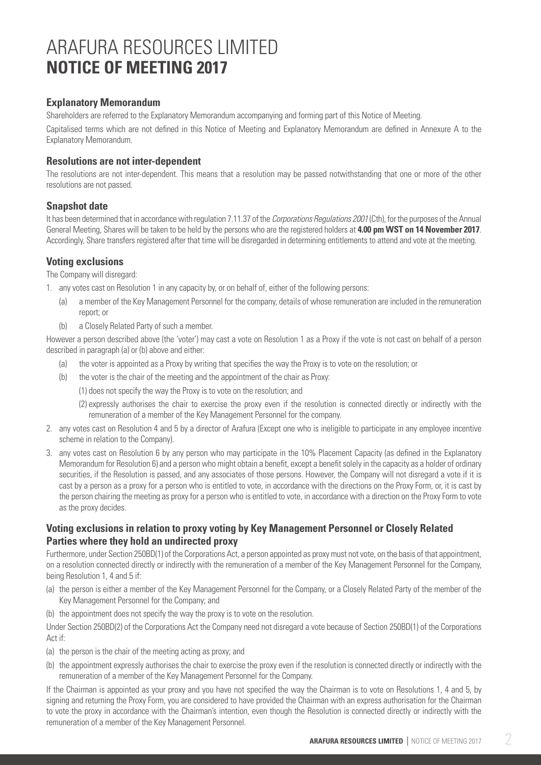# **Explanatory Memorandum**

Shareholders are referred to the Explanatory Memorandum accompanying and forming part of this Notice of Meeting.

Capitalised terms which are not defined in this Notice of Meeting and Explanatory Memorandum are defined in Annexure A to the Explanatory Memorandum.

# **Resolutions are not inter-dependent**

The resolutions are not inter-dependent. This means that a resolution may be passed notwithstanding that one or more of the other resolutions are not passed.

# **Snapshot date**

It has been determined that in accordance with regulation 7.11.37 of the *Corporations Regulations 2001* (Cth), for the purposes of the Annual General Meeting, Shares will be taken to be held by the persons who are the registered holders at **4.00 pm WST on 14 November 2017**. Accordingly, Share transfers registered after that time will be disregarded in determining entitlements to attend and vote at the meeting.

# **Voting exclusions**

The Company will disregard:

- 1. any votes cast on Resolution 1 in any capacity by, or on behalf of, either of the following persons:
	- (a) a member of the Key Management Personnel for the company, details of whose remuneration are included in the remuneration report; or
	- (b) a Closely Related Party of such a member.

However a person described above (the 'voter') may cast a vote on Resolution 1 as a Proxy if the vote is not cast on behalf of a person described in paragraph (a) or (b) above and either:

- (a) the voter is appointed as a Proxy by writing that specifies the way the Proxy is to vote on the resolution; or
- (b) the voter is the chair of the meeting and the appointment of the chair as Proxy:
	- (1) does not specify the way the Proxy is to vote on the resolution; and
	- (2) expressly authorises the chair to exercise the proxy even if the resolution is connected directly or indirectly with the remuneration of a member of the Key Management Personnel for the company.
- 2. any votes cast on Resolution 4 and 5 by a director of Arafura (Except one who is ineligible to participate in any employee incentive scheme in relation to the Company).
- 3. any votes cast on Resolution 6 by any person who may participate in the 10% Placement Capacity (as defined in the Explanatory Memorandum for Resolution 6) and a person who might obtain a benefit, except a benefit solely in the capacity as a holder of ordinary securities, if the Resolution is passed, and any associates of those persons. However, the Company will not disregard a vote if it is cast by a person as a proxy for a person who is entitled to vote, in accordance with the directions on the Proxy Form, or, it is cast by the person chairing the meeting as proxy for a person who is entitled to vote, in accordance with a direction on the Proxy Form to vote as the proxy decides.

# **Voting exclusions in relation to proxy voting by Key Management Personnel or Closely Related Parties where they hold an undirected proxy**

Furthermore, under Section 250BD(1) of the Corporations Act, a person appointed as proxy must not vote, on the basis of that appointment, on a resolution connected directly or indirectly with the remuneration of a member of the Key Management Personnel for the Company, being Resolution 1, 4 and 5 if:

- (a) the person is either a member of the Key Management Personnel for the Company, or a Closely Related Party of the member of the Key Management Personnel for the Company; and
- (b) the appointment does not specify the way the proxy is to vote on the resolution.

Under Section 250BD(2) of the Corporations Act the Company need not disregard a vote because of Section 250BD(1) of the Corporations Act if:

- (a) the person is the chair of the meeting acting as proxy; and
- (b) the appointment expressly authorises the chair to exercise the proxy even if the resolution is connected directly or indirectly with the remuneration of a member of the Key Management Personnel for the Company.

If the Chairman is appointed as your proxy and you have not specified the way the Chairman is to vote on Resolutions 1, 4 and 5, by signing and returning the Proxy Form, you are considered to have provided the Chairman with an express authorisation for the Chairman to vote the proxy in accordance with the Chairman's intention, even though the Resolution is connected directly or indirectly with the remuneration of a member of the Key Management Personnel.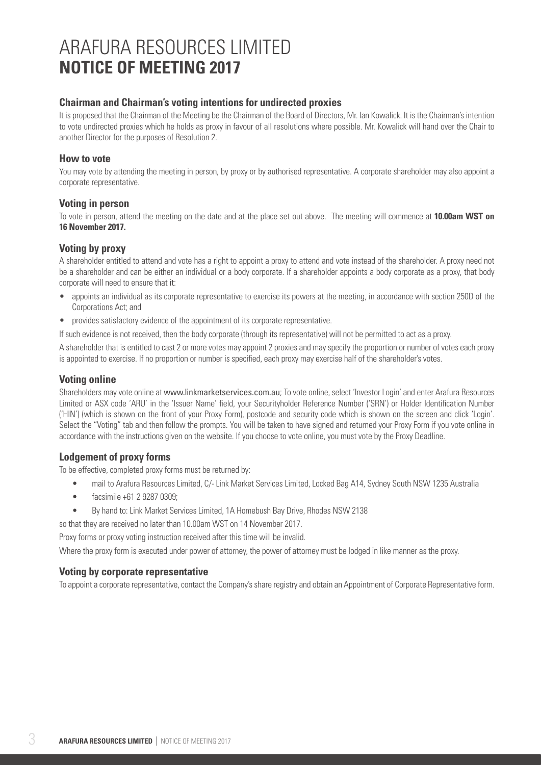# **Chairman and Chairman's voting intentions for undirected proxies**

It is proposed that the Chairman of the Meeting be the Chairman of the Board of Directors, Mr. Ian Kowalick. It is the Chairman's intention to vote undirected proxies which he holds as proxy in favour of all resolutions where possible. Mr. Kowalick will hand over the Chair to another Director for the purposes of Resolution 2.

### **How to vote**

You may vote by attending the meeting in person, by proxy or by authorised representative. A corporate shareholder may also appoint a corporate representative.

### **Voting in person**

To vote in person, attend the meeting on the date and at the place set out above. The meeting will commence at **10.00am WST on 16 November 2017.**

# **Voting by proxy**

A shareholder entitled to attend and vote has a right to appoint a proxy to attend and vote instead of the shareholder. A proxy need not be a shareholder and can be either an individual or a body corporate. If a shareholder appoints a body corporate as a proxy, that body corporate will need to ensure that it:

- appoints an individual as its corporate representative to exercise its powers at the meeting, in accordance with section 250D of the Corporations Act; and
- provides satisfactory evidence of the appointment of its corporate representative.

If such evidence is not received, then the body corporate (through its representative) will not be permitted to act as a proxy.

A shareholder that is entitled to cast 2 or more votes may appoint 2 proxies and may specify the proportion or number of votes each proxy is appointed to exercise. If no proportion or number is specified, each proxy may exercise half of the shareholder's votes.

## **Voting online**

Shareholders may vote online at www.linkmarketservices.com.au; To vote online, select 'Investor Login' and enter Arafura Resources Limited or ASX code 'ARU' in the 'Issuer Name' field, your Securityholder Reference Number ('SRN') or Holder Identification Number ('HIN') (which is shown on the front of your Proxy Form), postcode and security code which is shown on the screen and click 'Login'. Select the "Voting" tab and then follow the prompts. You will be taken to have signed and returned your Proxy Form if you vote online in accordance with the instructions given on the website. If you choose to vote online, you must vote by the Proxy Deadline.

# **Lodgement of proxy forms**

To be effective, completed proxy forms must be returned by:

- mail to Arafura Resources Limited, C/- Link Market Services Limited, Locked Bag A14, Sydney South NSW 1235 Australia
- facsimile +61 2 9287 0309:
- By hand to: Link Market Services Limited, 1A Homebush Bay Drive, Rhodes NSW 2138

so that they are received no later than 10.00am WST on 14 November 2017.

Proxy forms or proxy voting instruction received after this time will be invalid.

Where the proxy form is executed under power of attorney, the power of attorney must be lodged in like manner as the proxy.

### **Voting by corporate representative**

To appoint a corporate representative, contact the Company's share registry and obtain an Appointment of Corporate Representative form.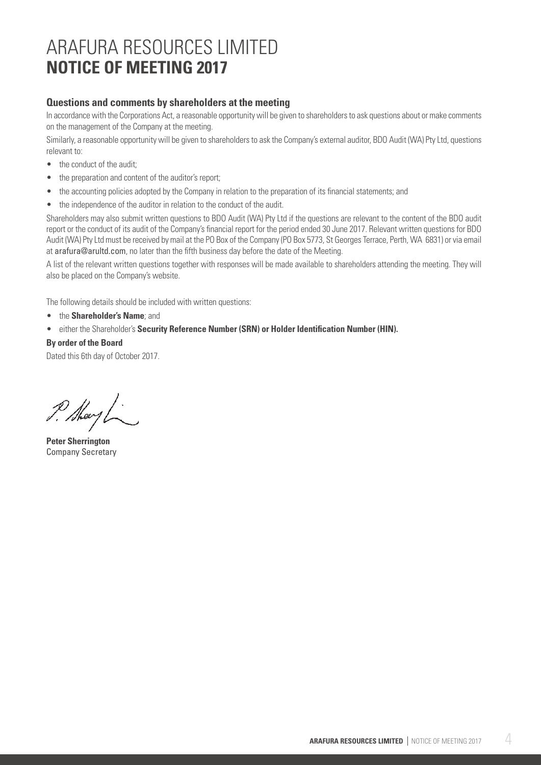# **Questions and comments by shareholders at the meeting**

In accordance with the Corporations Act, a reasonable opportunity will be given to shareholders to ask questions about or make comments on the management of the Company at the meeting.

Similarly, a reasonable opportunity will be given to shareholders to ask the Company's external auditor, BDO Audit (WA) Pty Ltd, questions relevant to:

- the conduct of the audit;
- the preparation and content of the auditor's report;
- the accounting policies adopted by the Company in relation to the preparation of its financial statements; and
- the independence of the auditor in relation to the conduct of the audit.

Shareholders may also submit written questions to BDO Audit (WA) Pty Ltd if the questions are relevant to the content of the BDO audit report or the conduct of its audit of the Company's financial report for the period ended 30 June 2017. Relevant written questions for BDO Audit (WA) Pty Ltd must be received by mail at the PO Box of the Company (PO Box 5773, St Georges Terrace, Perth, WA 6831) or via email at arafura@arultd.com, no later than the fifth business day before the date of the Meeting.

A list of the relevant written questions together with responses will be made available to shareholders attending the meeting. They will also be placed on the Company's website.

The following details should be included with written questions:

- the **Shareholder's Name**; and
- either the Shareholder's **Security Reference Number (SRN) or Holder Identification Number (HIN).**

#### **By order of the Board**

Dated this 6th day of October 2017.

P. Maryl

**Peter Sherrington** Company Secretary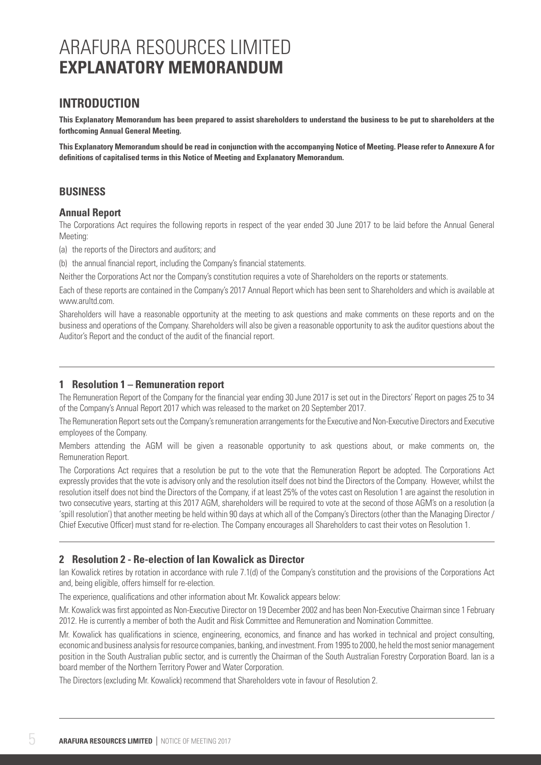# **INTRODUCTION**

**This Explanatory Memorandum has been prepared to assist shareholders to understand the business to be put to shareholders at the forthcoming Annual General Meeting.**

**This Explanatory Memorandum should be read in conjunction with the accompanying Notice of Meeting. Please refer to Annexure A for definitions of capitalised terms in this Notice of Meeting and Explanatory Memorandum.**

# **BUSINESS**

### **Annual Report**

The Corporations Act requires the following reports in respect of the year ended 30 June 2017 to be laid before the Annual General Meeting:

(a) the reports of the Directors and auditors; and

(b) the annual financial report, including the Company's financial statements.

Neither the Corporations Act nor the Company's constitution requires a vote of Shareholders on the reports or statements.

Each of these reports are contained in the Company's 2017 Annual Report which has been sent to Shareholders and which is available at www.arultd.com.

Shareholders will have a reasonable opportunity at the meeting to ask questions and make comments on these reports and on the business and operations of the Company. Shareholders will also be given a reasonable opportunity to ask the auditor questions about the Auditor's Report and the conduct of the audit of the financial report.

# **1 Resolution 1 – Remuneration report**

The Remuneration Report of the Company for the financial year ending 30 June 2017 is set out in the Directors' Report on pages 25 to 34 of the Company's Annual Report 2017 which was released to the market on 20 September 2017.

The Remuneration Report sets out the Company's remuneration arrangements for the Executive and Non-Executive Directors and Executive employees of the Company.

Members attending the AGM will be given a reasonable opportunity to ask questions about, or make comments on, the Remuneration Report.

The Corporations Act requires that a resolution be put to the vote that the Remuneration Report be adopted. The Corporations Act expressly provides that the vote is advisory only and the resolution itself does not bind the Directors of the Company. However, whilst the resolution itself does not bind the Directors of the Company, if at least 25% of the votes cast on Resolution 1 are against the resolution in two consecutive years, starting at this 2017 AGM, shareholders will be required to vote at the second of those AGM's on a resolution (a 'spill resolution') that another meeting be held within 90 days at which all of the Company's Directors (other than the Managing Director / Chief Executive Officer) must stand for re-election. The Company encourages all Shareholders to cast their votes on Resolution 1.

# **2 Resolution 2 - Re-election of Ian Kowalick as Director**

Ian Kowalick retires by rotation in accordance with rule 7.1(d) of the Company's constitution and the provisions of the Corporations Act and, being eligible, offers himself for re-election.

The experience, qualifications and other information about Mr. Kowalick appears below:

Mr. Kowalick was first appointed as Non-Executive Director on 19 December 2002 and has been Non-Executive Chairman since 1 February 2012. He is currently a member of both the Audit and Risk Committee and Remuneration and Nomination Committee.

Mr. Kowalick has qualifications in science, engineering, economics, and finance and has worked in technical and project consulting, economic and business analysis for resource companies, banking, and investment. From 1995 to 2000, he held the most senior management position in the South Australian public sector, and is currently the Chairman of the South Australian Forestry Corporation Board. Ian is a board member of the Northern Territory Power and Water Corporation.

The Directors (excluding Mr. Kowalick) recommend that Shareholders vote in favour of Resolution 2.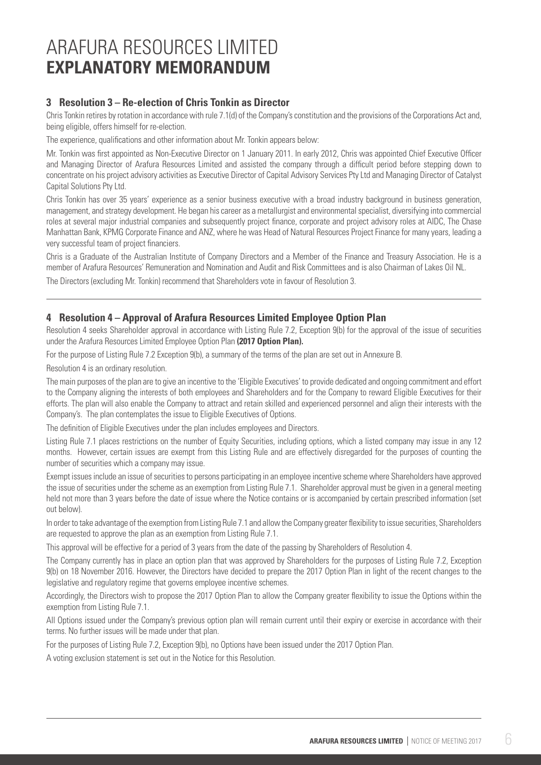# **3 Resolution 3 – Re-election of Chris Tonkin as Director**

Chris Tonkin retires by rotation in accordance with rule 7.1(d) of the Company's constitution and the provisions of the Corporations Act and, being eligible, offers himself for re-election.

The experience, qualifications and other information about Mr. Tonkin appears below:

Mr. Tonkin was first appointed as Non-Executive Director on 1 January 2011. In early 2012, Chris was appointed Chief Executive Officer and Managing Director of Arafura Resources Limited and assisted the company through a difficult period before stepping down to concentrate on his project advisory activities as Executive Director of Capital Advisory Services Pty Ltd and Managing Director of Catalyst Capital Solutions Pty Ltd.

Chris Tonkin has over 35 years' experience as a senior business executive with a broad industry background in business generation, management, and strategy development. He began his career as a metallurgist and environmental specialist, diversifying into commercial roles at several major industrial companies and subsequently project finance, corporate and project advisory roles at AIDC, The Chase Manhattan Bank, KPMG Corporate Finance and ANZ, where he was Head of Natural Resources Project Finance for many years, leading a very successful team of project financiers.

Chris is a Graduate of the Australian Institute of Company Directors and a Member of the Finance and Treasury Association. He is a member of Arafura Resources' Remuneration and Nomination and Audit and Risk Committees and is also Chairman of Lakes Oil NL. The Directors (excluding Mr. Tonkin) recommend that Shareholders vote in favour of Resolution 3.

# **4 Resolution 4 – Approval of Arafura Resources Limited Employee Option Plan**

Resolution 4 seeks Shareholder approval in accordance with Listing Rule 7.2, Exception 9(b) for the approval of the issue of securities under the Arafura Resources Limited Employee Option Plan **(2017 Option Plan).** 

For the purpose of Listing Rule 7.2 Exception 9(b), a summary of the terms of the plan are set out in Annexure B.

Resolution 4 is an ordinary resolution.

The main purposes of the plan are to give an incentive to the 'Eligible Executives' to provide dedicated and ongoing commitment and effort to the Company aligning the interests of both employees and Shareholders and for the Company to reward Eligible Executives for their efforts. The plan will also enable the Company to attract and retain skilled and experienced personnel and align their interests with the Company's. The plan contemplates the issue to Eligible Executives of Options.

The definition of Eligible Executives under the plan includes employees and Directors.

Listing Rule 7.1 places restrictions on the number of Equity Securities, including options, which a listed company may issue in any 12 months. However, certain issues are exempt from this Listing Rule and are effectively disregarded for the purposes of counting the number of securities which a company may issue.

Exempt issues include an issue of securities to persons participating in an employee incentive scheme where Shareholders have approved the issue of securities under the scheme as an exemption from Listing Rule 7.1. Shareholder approval must be given in a general meeting held not more than 3 years before the date of issue where the Notice contains or is accompanied by certain prescribed information (set out below).

In order to take advantage of the exemption from Listing Rule 7.1 and allow the Company greater flexibility to issue securities, Shareholders are requested to approve the plan as an exemption from Listing Rule 7.1.

This approval will be effective for a period of 3 years from the date of the passing by Shareholders of Resolution 4.

The Company currently has in place an option plan that was approved by Shareholders for the purposes of Listing Rule 7.2, Exception 9(b) on 18 November 2016. However, the Directors have decided to prepare the 2017 Option Plan in light of the recent changes to the legislative and regulatory regime that governs employee incentive schemes.

Accordingly, the Directors wish to propose the 2017 Option Plan to allow the Company greater flexibility to issue the Options within the exemption from Listing Rule 7.1.

All Options issued under the Company's previous option plan will remain current until their expiry or exercise in accordance with their terms. No further issues will be made under that plan.

For the purposes of Listing Rule 7.2, Exception 9(b), no Options have been issued under the 2017 Option Plan.

A voting exclusion statement is set out in the Notice for this Resolution.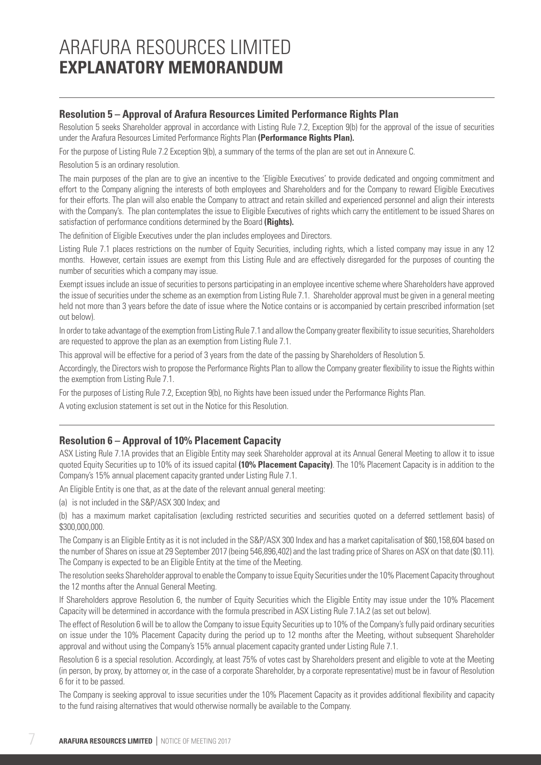### **Resolution 5 – Approval of Arafura Resources Limited Performance Rights Plan**

Resolution 5 seeks Shareholder approval in accordance with Listing Rule 7.2. Exception 9(b) for the approval of the issue of securities under the Arafura Resources Limited Performance Rights Plan **(Performance Rights Plan).** 

For the purpose of Listing Rule 7.2 Exception 9(b), a summary of the terms of the plan are set out in Annexure C.

Resolution 5 is an ordinary resolution.

The main purposes of the plan are to give an incentive to the 'Eligible Executives' to provide dedicated and ongoing commitment and effort to the Company aligning the interests of both employees and Shareholders and for the Company to reward Eligible Executives for their efforts. The plan will also enable the Company to attract and retain skilled and experienced personnel and align their interests with the Company's. The plan contemplates the issue to Eligible Executives of rights which carry the entitlement to be issued Shares on satisfaction of performance conditions determined by the Board **(Rights).** 

The definition of Eligible Executives under the plan includes employees and Directors.

Listing Rule 7.1 places restrictions on the number of Equity Securities, including rights, which a listed company may issue in any 12 months. However, certain issues are exempt from this Listing Rule and are effectively disregarded for the purposes of counting the number of securities which a company may issue.

Exempt issues include an issue of securities to persons participating in an employee incentive scheme where Shareholders have approved the issue of securities under the scheme as an exemption from Listing Rule 7.1. Shareholder approval must be given in a general meeting held not more than 3 years before the date of issue where the Notice contains or is accompanied by certain prescribed information (set out below).

In order to take advantage of the exemption from Listing Rule 7.1 and allow the Company greater flexibility to issue securities, Shareholders are requested to approve the plan as an exemption from Listing Rule 7.1.

This approval will be effective for a period of 3 years from the date of the passing by Shareholders of Resolution 5.

Accordingly, the Directors wish to propose the Performance Rights Plan to allow the Company greater flexibility to issue the Rights within the exemption from Listing Rule 7.1.

For the purposes of Listing Rule 7.2, Exception 9(b), no Rights have been issued under the Performance Rights Plan.

A voting exclusion statement is set out in the Notice for this Resolution.

### **Resolution 6 – Approval of 10% Placement Capacity**

ASX Listing Rule 7.1A provides that an Eligible Entity may seek Shareholder approval at its Annual General Meeting to allow it to issue quoted Equity Securities up to 10% of its issued capital **(10% Placement Capacity)**. The 10% Placement Capacity is in addition to the Company's 15% annual placement capacity granted under Listing Rule 7.1.

An Eligible Entity is one that, as at the date of the relevant annual general meeting:

(a) is not included in the S&P/ASX 300 Index; and

(b) has a maximum market capitalisation (excluding restricted securities and securities quoted on a deferred settlement basis) of \$300,000,000.

The Company is an Eligible Entity as it is not included in the S&P/ASX 300 Index and has a market capitalisation of \$60,158,604 based on the number of Shares on issue at 29 September 2017 (being 546,896,402) and the last trading price of Shares on ASX on that date (\$0.11). The Company is expected to be an Eligible Entity at the time of the Meeting.

The resolution seeks Shareholder approval to enable the Company to issue Equity Securities under the 10% Placement Capacity throughout the 12 months after the Annual General Meeting.

If Shareholders approve Resolution 6, the number of Equity Securities which the Eligible Entity may issue under the 10% Placement Capacity will be determined in accordance with the formula prescribed in ASX Listing Rule 7.1A.2 (as set out below).

The effect of Resolution 6 will be to allow the Company to issue Equity Securities up to 10% of the Company's fully paid ordinary securities on issue under the 10% Placement Capacity during the period up to 12 months after the Meeting, without subsequent Shareholder approval and without using the Company's 15% annual placement capacity granted under Listing Rule 7.1.

Resolution 6 is a special resolution. Accordingly, at least 75% of votes cast by Shareholders present and eligible to vote at the Meeting (in person, by proxy, by attorney or, in the case of a corporate Shareholder, by a corporate representative) must be in favour of Resolution 6 for it to be passed.

The Company is seeking approval to issue securities under the 10% Placement Capacity as it provides additional flexibility and capacity to the fund raising alternatives that would otherwise normally be available to the Company.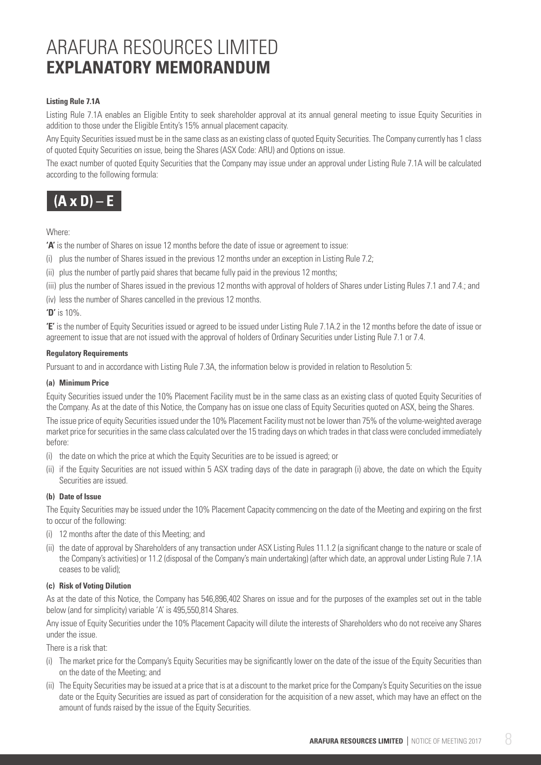#### **Listing Rule 7.1A**

Listing Rule 7.1A enables an Eligible Entity to seek shareholder approval at its annual general meeting to issue Equity Securities in addition to those under the Eligible Entity's 15% annual placement capacity.

Any Equity Securities issued must be in the same class as an existing class of quoted Equity Securities. The Company currently has 1 class of quoted Equity Securities on issue, being the Shares (ASX Code: ARU) and Options on issue.

The exact number of quoted Equity Securities that the Company may issue under an approval under Listing Rule 7.1A will be calculated according to the following formula:



#### Where:

**'A'** is the number of Shares on issue 12 months before the date of issue or agreement to issue:

(i) plus the number of Shares issued in the previous 12 months under an exception in Listing Rule 7.2;

(ii) plus the number of partly paid shares that became fully paid in the previous 12 months;

- (iii) plus the number of Shares issued in the previous 12 months with approval of holders of Shares under Listing Rules 7.1 and 7.4.; and
- (iv) less the number of Shares cancelled in the previous 12 months.

**'D'** is 10%.

**'E'** is the number of Equity Securities issued or agreed to be issued under Listing Rule 7.1A.2 in the 12 months before the date of issue or agreement to issue that are not issued with the approval of holders of Ordinary Securities under Listing Rule 7.1 or 7.4.

#### **Regulatory Requirements**

Pursuant to and in accordance with Listing Rule 7.3A, the information below is provided in relation to Resolution 5:

#### **(a) Minimum Price**

Equity Securities issued under the 10% Placement Facility must be in the same class as an existing class of quoted Equity Securities of the Company. As at the date of this Notice, the Company has on issue one class of Equity Securities quoted on ASX, being the Shares.

The issue price of equity Securities issued under the 10% Placement Facility must not be lower than 75% of the volume-weighted average market price for securities in the same class calculated over the 15 trading days on which trades in that class were concluded immediately before:

- (i) the date on which the price at which the Equity Securities are to be issued is agreed; or
- (ii) if the Equity Securities are not issued within 5 ASX trading days of the date in paragraph (i) above, the date on which the Equity Securities are issued.

#### **(b) Date of Issue**

The Equity Securities may be issued under the 10% Placement Capacity commencing on the date of the Meeting and expiring on the first to occur of the following:

- (i) 12 months after the date of this Meeting; and
- (ii) the date of approval by Shareholders of any transaction under ASX Listing Rules 11.1.2 (a significant change to the nature or scale of the Company's activities) or 11.2 (disposal of the Company's main undertaking) (after which date, an approval under Listing Rule 7.1A ceases to be valid);

#### **(c) Risk of Voting Dilution**

As at the date of this Notice, the Company has 546,896,402 Shares on issue and for the purposes of the examples set out in the table below (and for simplicity) variable 'A' is 495,550,814 Shares.

Any issue of Equity Securities under the 10% Placement Capacity will dilute the interests of Shareholders who do not receive any Shares under the issue.

There is a risk that:

- (i) The market price for the Company's Equity Securities may be significantly lower on the date of the issue of the Equity Securities than on the date of the Meeting; and
- (ii) The Equity Securities may be issued at a price that is at a discount to the market price for the Company's Equity Securities on the issue date or the Equity Securities are issued as part of consideration for the acquisition of a new asset, which may have an effect on the amount of funds raised by the issue of the Equity Securities.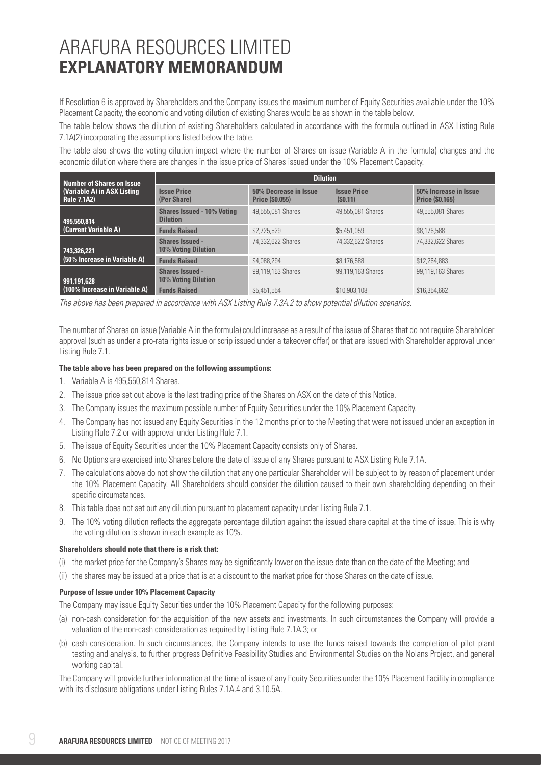If Resolution 6 is approved by Shareholders and the Company issues the maximum number of Equity Securities available under the 10% Placement Capacity, the economic and voting dilution of existing Shares would be as shown in the table below.

The table below shows the dilution of existing Shareholders calculated in accordance with the formula outlined in ASX Listing Rule 7.1A(2) incorporating the assumptions listed below the table.

The table also shows the voting dilution impact where the number of Shares on issue (Variable A in the formula) changes and the economic dilution where there are changes in the issue price of Shares issued under the 10% Placement Capacity.

| <b>Number of Shares on Issue</b>                  | <b>Dilution</b>                                      |                                                 |                               |                                                 |  |  |
|---------------------------------------------------|------------------------------------------------------|-------------------------------------------------|-------------------------------|-------------------------------------------------|--|--|
| (Variable A) in ASX Listing<br><b>Rule 7.1A2)</b> | <b>Issue Price</b><br>(Per Share)                    | 50% Decrease in Issue<br><b>Price (\$0.055)</b> | <b>Issue Price</b><br>(S0.11) | 50% Increase in Issue<br><b>Price (\$0.165)</b> |  |  |
| 495,550,814                                       | <b>Shares Issued - 10% Voting</b><br><b>Dilution</b> | 49.555.081 Shares                               | 49,555,081 Shares             | 49.555.081 Shares                               |  |  |
| (Current Variable A)                              | <b>Funds Raised</b>                                  | \$2,725,529                                     | \$5,451,059                   | \$8,176,588                                     |  |  |
| 743,326,221                                       | <b>Shares Issued -</b><br><b>10% Voting Dilution</b> | 74.332.622 Shares                               | 74.332.622 Shares             | 74.332.622 Shares                               |  |  |
| (50% Increase in Variable A)                      | <b>Funds Raised</b>                                  | \$4,088,294                                     | \$8,176,588                   | \$12,264,883                                    |  |  |
| 991.191.628                                       | Shares Issued -<br><b>10% Voting Dilution</b>        | 99.119.163 Shares                               | 99.119.163 Shares             | 99.119.163 Shares                               |  |  |
| (100% Increase in Variable A)                     | <b>Funds Raised</b>                                  | \$5,451,554                                     | \$10,903,108                  | \$16,354,662                                    |  |  |

*The above has been prepared in accordance with ASX Listing Rule 7.3A.2 to show potential dilution scenarios.*

The number of Shares on issue (Variable A in the formula) could increase as a result of the issue of Shares that do not require Shareholder approval (such as under a pro-rata rights issue or scrip issued under a takeover offer) or that are issued with Shareholder approval under Listing Rule 7.1.

#### **The table above has been prepared on the following assumptions:**

- 1. Variable A is 495,550,814 Shares.
- 2. The issue price set out above is the last trading price of the Shares on ASX on the date of this Notice.
- 3. The Company issues the maximum possible number of Equity Securities under the 10% Placement Capacity.
- 4. The Company has not issued any Equity Securities in the 12 months prior to the Meeting that were not issued under an exception in Listing Rule 7.2 or with approval under Listing Rule 7.1.
- 5. The issue of Equity Securities under the 10% Placement Capacity consists only of Shares.
- 6. No Options are exercised into Shares before the date of issue of any Shares pursuant to ASX Listing Rule 7.1A.
- 7. The calculations above do not show the dilution that any one particular Shareholder will be subject to by reason of placement under the 10% Placement Capacity. All Shareholders should consider the dilution caused to their own shareholding depending on their specific circumstances.
- 8. This table does not set out any dilution pursuant to placement capacity under Listing Rule 7.1.
- 9. The 10% voting dilution reflects the aggregate percentage dilution against the issued share capital at the time of issue. This is why the voting dilution is shown in each example as 10%.

#### **Shareholders should note that there is a risk that:**

- (i) the market price for the Company's Shares may be significantly lower on the issue date than on the date of the Meeting; and
- (ii) the shares may be issued at a price that is at a discount to the market price for those Shares on the date of issue.

#### **Purpose of Issue under 10% Placement Capacity**

The Company may issue Equity Securities under the 10% Placement Capacity for the following purposes:

- (a) non-cash consideration for the acquisition of the new assets and investments. In such circumstances the Company will provide a valuation of the non-cash consideration as required by Listing Rule 7.1A.3; or
- (b) cash consideration. In such circumstances, the Company intends to use the funds raised towards the completion of pilot plant testing and analysis, to further progress Definitive Feasibility Studies and Environmental Studies on the Nolans Project, and general working capital.

The Company will provide further information at the time of issue of any Equity Securities under the 10% Placement Facility in compliance with its disclosure obligations under Listing Rules 7.1A.4 and 3.10.5A.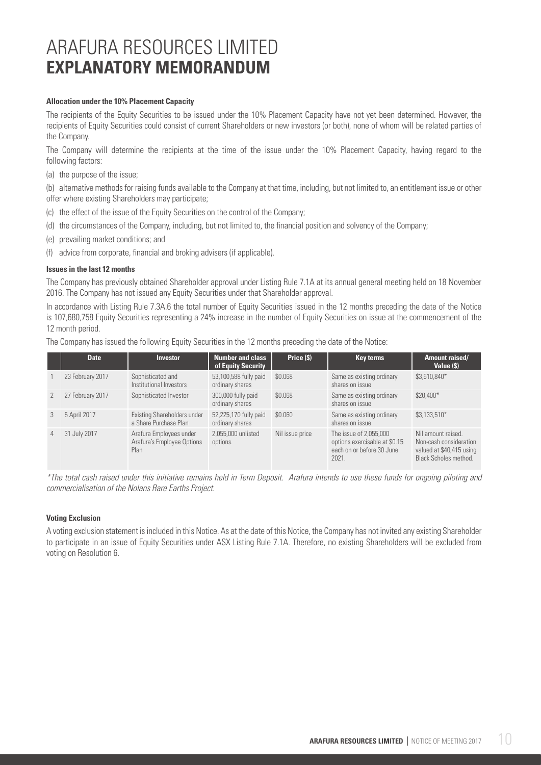#### **Allocation under the 10% Placement Capacity**

The recipients of the Equity Securities to be issued under the 10% Placement Capacity have not yet been determined. However, the recipients of Equity Securities could consist of current Shareholders or new investors (or both), none of whom will be related parties of the Company.

The Company will determine the recipients at the time of the issue under the 10% Placement Capacity, having regard to the following factors:

(a) the purpose of the issue;

(b) alternative methods for raising funds available to the Company at that time, including, but not limited to, an entitlement issue or other offer where existing Shareholders may participate;

- (c) the effect of the issue of the Equity Securities on the control of the Company;
- (d) the circumstances of the Company, including, but not limited to, the financial position and solvency of the Company;
- (e) prevailing market conditions; and
- (f) advice from corporate, financial and broking advisers (if applicable).

#### **Issues in the last 12 months**

The Company has previously obtained Shareholder approval under Listing Rule 7.1A at its annual general meeting held on 18 November 2016. The Company has not issued any Equity Securities under that Shareholder approval.

In accordance with Listing Rule 7.3A.6 the total number of Equity Securities issued in the 12 months preceding the date of the Notice is 107,680,758 Equity Securities representing a 24% increase in the number of Equity Securities on issue at the commencement of the 12 month period.

The Company has issued the following Equity Securities in the 12 months preceding the date of the Notice:

|                | <b>Date</b>      | <b>Investor</b>                                               | <b>Number and class</b><br>of Equity Security | Price (\$)      | Key terms                                                                                     | Amount raised/<br>Value (\$)                                                                      |
|----------------|------------------|---------------------------------------------------------------|-----------------------------------------------|-----------------|-----------------------------------------------------------------------------------------------|---------------------------------------------------------------------------------------------------|
|                | 23 February 2017 | Sophisticated and<br>Institutional Investors                  | 53,100,588 fully paid<br>ordinary shares      | \$0.068         | Same as existing ordinary<br>shares on issue                                                  | \$3,610,840*                                                                                      |
| $\mathcal{P}$  | 27 February 2017 | Sophisticated Investor                                        | 300,000 fully paid<br>ordinary shares         | \$0.068         | Same as existing ordinary<br>shares on issue                                                  | \$20,400*                                                                                         |
| 3              | 5 April 2017     | Existing Shareholders under<br>a Share Purchase Plan          | 52,225,170 fully paid<br>ordinary shares      | \$0.060         | Same as existing ordinary<br>shares on issue                                                  | $$3,133,510*$                                                                                     |
| $\overline{4}$ | 31 July 2017     | Arafura Employees under<br>Arafura's Employee Options<br>Plan | 2.055.000 unlisted<br>options.                | Nil issue price | The issue of 2,055,000<br>options exercisable at \$0.15<br>each on or before 30 June<br>2021. | Nil amount raised.<br>Non-cash consideration<br>valued at \$40,415 using<br>Black Scholes method. |

*\*The total cash raised under this initiative remains held in Term Deposit. Arafura intends to use these funds for ongoing piloting and commercialisation of the Nolans Rare Earths Project.*

#### **Voting Exclusion**

A voting exclusion statement is included in this Notice. As at the date of this Notice, the Company has not invited any existing Shareholder to participate in an issue of Equity Securities under ASX Listing Rule 7.1A. Therefore, no existing Shareholders will be excluded from voting on Resolution 6.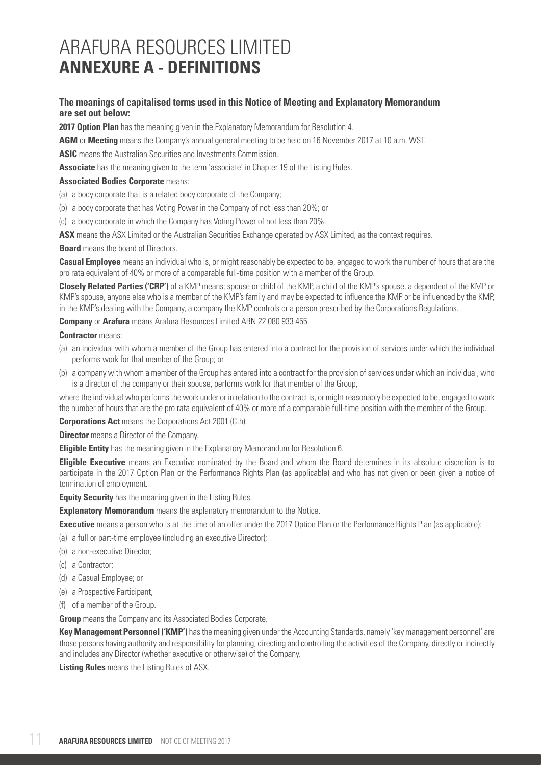# ARAFURA RESOURCES LIMITED **ANNEXURE A - DEFINITIONS**

### **The meanings of capitalised terms used in this Notice of Meeting and Explanatory Memorandum are set out below:**

**2017 Option Plan** has the meaning given in the Explanatory Memorandum for Resolution 4.

**AGM** or **Meeting** means the Company's annual general meeting to be held on 16 November 2017 at 10 a.m. WST.

**ASIC** means the Australian Securities and Investments Commission.

**Associate** has the meaning given to the term 'associate' in Chapter 19 of the Listing Rules.

#### **Associated Bodies Corporate means:**

- (a) a body corporate that is a related body corporate of the Company;
- (b) a body corporate that has Voting Power in the Company of not less than 20%; or
- (c) a body corporate in which the Company has Voting Power of not less than 20%.

**ASX** means the ASX Limited or the Australian Securities Exchange operated by ASX Limited, as the context requires.

**Board** means the board of Directors.

**Casual Employee** means an individual who is, or might reasonably be expected to be, engaged to work the number of hours that are the pro rata equivalent of 40% or more of a comparable full-time position with a member of the Group.

**Closely Related Parties ('CRP')** of a KMP means; spouse or child of the KMP, a child of the KMP's spouse, a dependent of the KMP or KMP's spouse, anyone else who is a member of the KMP's family and may be expected to influence the KMP or be influenced by the KMP, in the KMP's dealing with the Company, a company the KMP controls or a person prescribed by the Corporations Regulations.

**Company** or **Arafura** means Arafura Resources Limited ABN 22 080 933 455.

#### **Contractor** means:

- (a) an individual with whom a member of the Group has entered into a contract for the provision of services under which the individual performs work for that member of the Group; or
- (b) a company with whom a member of the Group has entered into a contract for the provision of services under which an individual, who is a director of the company or their spouse, performs work for that member of the Group,

where the individual who performs the work under or in relation to the contract is, or might reasonably be expected to be, engaged to work the number of hours that are the pro rata equivalent of 40% or more of a comparable full-time position with the member of the Group.

**Corporations Act** means the Corporations Act 2001 (Cth).

**Director** means a Director of the Company.

**Eligible Entity** has the meaning given in the Explanatory Memorandum for Resolution 6.

**Eligible Executive** means an Executive nominated by the Board and whom the Board determines in its absolute discretion is to participate in the 2017 Option Plan or the Performance Rights Plan (as applicable) and who has not given or been given a notice of termination of employment.

**Equity Security** has the meaning given in the Listing Rules.

**Explanatory Memorandum** means the explanatory memorandum to the Notice.

**Executive** means a person who is at the time of an offer under the 2017 Option Plan or the Performance Rights Plan (as applicable):

(a) a full or part-time employee (including an executive Director);

- (b) a non-executive Director;
- (c) a Contractor;
- (d) a Casual Employee; or
- (e) a Prospective Participant,
- (f) of a member of the Group.

**Group** means the Company and its Associated Bodies Corporate.

**Key Management Personnel ('KMP')** has the meaning given under the Accounting Standards, namely 'key management personnel' are those persons having authority and responsibility for planning, directing and controlling the activities of the Company, directly or indirectly and includes any Director (whether executive or otherwise) of the Company.

**Listing Rules** means the Listing Rules of ASX.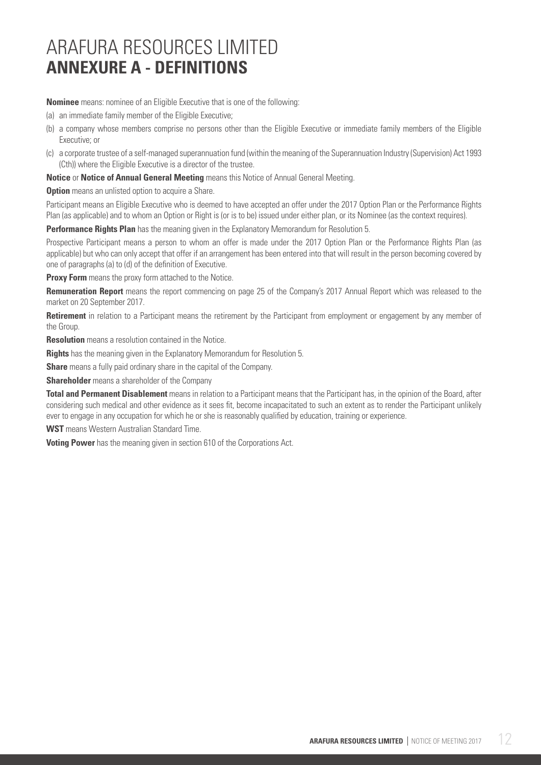# ARAFURA RESOURCES LIMITED **ANNEXURE A - DEFINITIONS**

**Nominee** means: nominee of an Eligible Executive that is one of the following:

- (a) an immediate family member of the Eligible Executive;
- (b) a company whose members comprise no persons other than the Eligible Executive or immediate family members of the Eligible Executive; or
- (c) a corporate trustee of a self-managed superannuation fund (within the meaning of the Superannuation Industry (Supervision) Act 1993 (Cth)) where the Eligible Executive is a director of the trustee.

**Notice** or **Notice of Annual General Meeting** means this Notice of Annual General Meeting.

**Option** means an unlisted option to acquire a Share.

Participant means an Eligible Executive who is deemed to have accepted an offer under the 2017 Option Plan or the Performance Rights Plan (as applicable) and to whom an Option or Right is (or is to be) issued under either plan, or its Nominee (as the context requires).

**Performance Rights Plan** has the meaning given in the Explanatory Memorandum for Resolution 5.

Prospective Participant means a person to whom an offer is made under the 2017 Option Plan or the Performance Rights Plan (as applicable) but who can only accept that offer if an arrangement has been entered into that will result in the person becoming covered by one of paragraphs (a) to (d) of the definition of Executive.

**Proxy Form** means the proxy form attached to the Notice.

**Remuneration Report** means the report commencing on page 25 of the Company's 2017 Annual Report which was released to the market on 20 September 2017.

**Retirement** in relation to a Participant means the retirement by the Participant from employment or engagement by any member of the Group.

**Resolution** means a resolution contained in the Notice.

**Rights** has the meaning given in the Explanatory Memorandum for Resolution 5.

**Share** means a fully paid ordinary share in the capital of the Company.

**Shareholder** means a shareholder of the Company

**Total and Permanent Disablement** means in relation to a Participant means that the Participant has, in the opinion of the Board, after considering such medical and other evidence as it sees fit, become incapacitated to such an extent as to render the Participant unlikely ever to engage in any occupation for which he or she is reasonably qualified by education, training or experience.

**WST** means Western Australian Standard Time.

**Voting Power** has the meaning given in section 610 of the Corporations Act.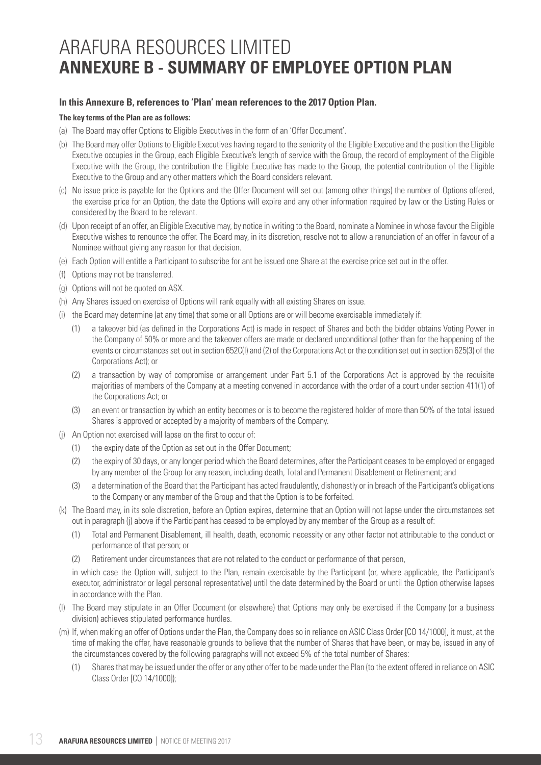# ARAFURA RESOURCES LIMITED **ANNEXURE B - SUMMARY OF EMPLOYEE OPTION PLAN**

#### **In this Annexure B, references to 'Plan' mean references to the 2017 Option Plan.**

#### **The key terms of the Plan are as follows:**

- (a) The Board may offer Options to Eligible Executives in the form of an 'Offer Document'.
- (b) The Board may offer Options to Eligible Executives having regard to the seniority of the Eligible Executive and the position the Eligible Executive occupies in the Group, each Eligible Executive's length of service with the Group, the record of employment of the Eligible Executive with the Group, the contribution the Eligible Executive has made to the Group, the potential contribution of the Eligible Executive to the Group and any other matters which the Board considers relevant.
- (c) No issue price is payable for the Options and the Offer Document will set out (among other things) the number of Options offered, the exercise price for an Option, the date the Options will expire and any other information required by law or the Listing Rules or considered by the Board to be relevant.
- (d) Upon receipt of an offer, an Eligible Executive may, by notice in writing to the Board, nominate a Nominee in whose favour the Eligible Executive wishes to renounce the offer. The Board may, in its discretion, resolve not to allow a renunciation of an offer in favour of a Nominee without giving any reason for that decision.
- (e) Each Option will entitle a Participant to subscribe for ant be issued one Share at the exercise price set out in the offer.
- (f) Options may not be transferred.
- (g) Options will not be quoted on ASX.
- (h) Any Shares issued on exercise of Options will rank equally with all existing Shares on issue.
- (i) the Board may determine (at any time) that some or all Options are or will become exercisable immediately if:
	- (1) a takeover bid (as defined in the Corporations Act) is made in respect of Shares and both the bidder obtains Voting Power in the Company of 50% or more and the takeover offers are made or declared unconditional (other than for the happening of the events or circumstances set out in section 652C(l) and (2) of the Corporations Act or the condition set out in section 625(3) of the Corporations Act); or
	- (2) a transaction by way of compromise or arrangement under Part 5.1 of the Corporations Act is approved by the requisite majorities of members of the Company at a meeting convened in accordance with the order of a court under section 411(1) of the Corporations Act; or
	- (3) an event or transaction by which an entity becomes or is to become the registered holder of more than 50% of the total issued Shares is approved or accepted by a majority of members of the Company.
- (j) An Option not exercised will lapse on the first to occur of:
	- (1) the expiry date of the Option as set out in the Offer Document;
	- (2) the expiry of 30 days, or any longer period which the Board determines, after the Participant ceases to be employed or engaged by any member of the Group for any reason, including death, Total and Permanent Disablement or Retirement; and
	- (3) a determination of the Board that the Participant has acted fraudulently, dishonestly or in breach of the Participant's obligations to the Company or any member of the Group and that the Option is to be forfeited.
- (k) The Board may, in its sole discretion, before an Option expires, determine that an Option will not lapse under the circumstances set out in paragraph (j) above if the Participant has ceased to be employed by any member of the Group as a result of:
	- (1) Total and Permanent Disablement, ill health, death, economic necessity or any other factor not attributable to the conduct or performance of that person; or
	- (2) Retirement under circumstances that are not related to the conduct or performance of that person,

 in which case the Option will, subject to the Plan, remain exercisable by the Participant (or, where applicable, the Participant's executor, administrator or legal personal representative) until the date determined by the Board or until the Option otherwise lapses in accordance with the Plan.

- (l) The Board may stipulate in an Offer Document (or elsewhere) that Options may only be exercised if the Company (or a business division) achieves stipulated performance hurdles.
- (m) If, when making an offer of Options under the Plan, the Company does so in reliance on ASIC Class Order [CO 14/1000], it must, at the time of making the offer, have reasonable grounds to believe that the number of Shares that have been, or may be, issued in any of the circumstances covered by the following paragraphs will not exceed 5% of the total number of Shares:
	- (1) Shares that may be issued under the offer or any other offer to be made under the Plan (to the extent offered in reliance on ASIC Class Order [CO 14/1000]);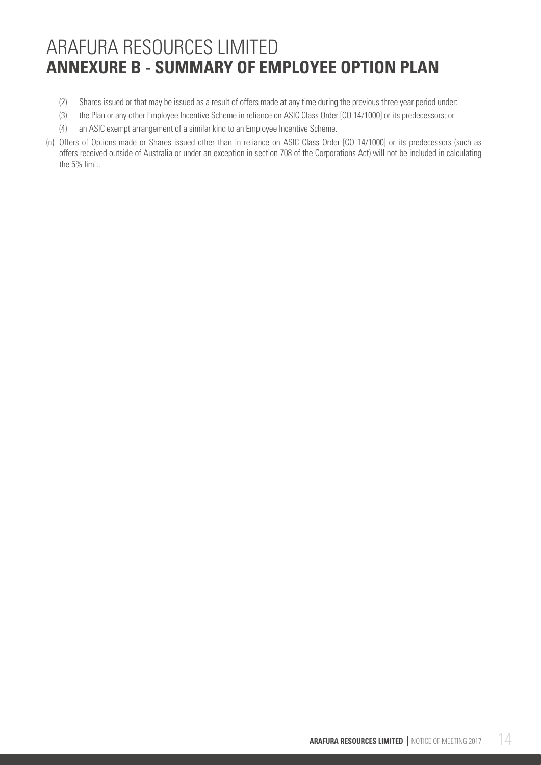# ARAFURA RESOURCES LIMITED **ANNEXURE B - SUMMARY OF EMPLOYEE OPTION PLAN**

- (2) Shares issued or that may be issued as a result of offers made at any time during the previous three year period under:
- (3) the Plan or any other Employee Incentive Scheme in reliance on ASIC Class Order [CO 14/1000] or its predecessors; or
- (4) an ASIC exempt arrangement of a similar kind to an Employee Incentive Scheme.
- (n) Offers of Options made or Shares issued other than in reliance on ASIC Class Order [CO 14/1000] or its predecessors (such as offers received outside of Australia or under an exception in section 708 of the Corporations Act) will not be included in calculating the 5% limit.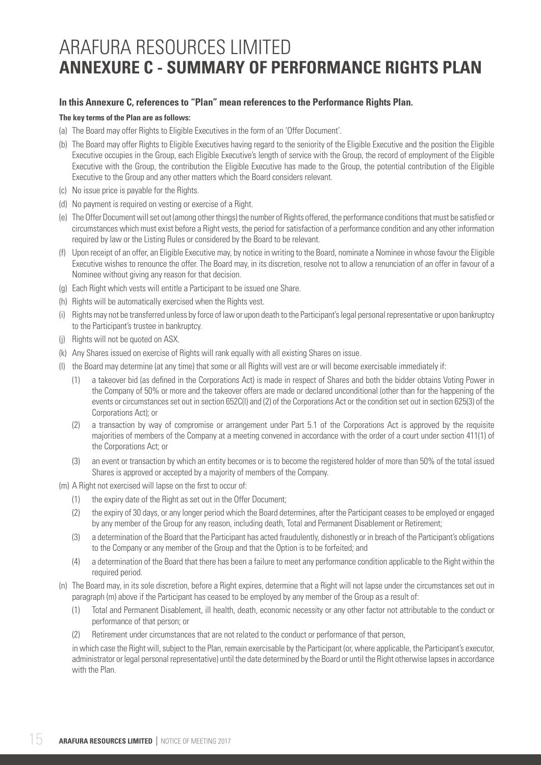# ARAFURA RESOURCES LIMITED **ANNEXURE C - SUMMARY OF PERFORMANCE RIGHTS PLAN**

### **In this Annexure C, references to "Plan" mean references to the Performance Rights Plan.**

#### **The key terms of the Plan are as follows:**

- (a) The Board may offer Rights to Eligible Executives in the form of an 'Offer Document'.
- (b) The Board may offer Rights to Eligible Executives having regard to the seniority of the Eligible Executive and the position the Eligible Executive occupies in the Group, each Eligible Executive's length of service with the Group, the record of employment of the Eligible Executive with the Group, the contribution the Eligible Executive has made to the Group, the potential contribution of the Eligible Executive to the Group and any other matters which the Board considers relevant.
- (c) No issue price is payable for the Rights.
- (d) No payment is required on vesting or exercise of a Right.
- (e) The Offer Document will set out (among other things) the number of Rights offered, the performance conditions that must be satisfied or circumstances which must exist before a Right vests, the period for satisfaction of a performance condition and any other information required by law or the Listing Rules or considered by the Board to be relevant.
- (f) Upon receipt of an offer, an Eligible Executive may, by notice in writing to the Board, nominate a Nominee in whose favour the Eligible Executive wishes to renounce the offer. The Board may, in its discretion, resolve not to allow a renunciation of an offer in favour of a Nominee without giving any reason for that decision.
- (g) Each Right which vests will entitle a Participant to be issued one Share.
- (h) Rights will be automatically exercised when the Rights vest.
- (i) Rights may not be transferred unless by force of law or upon death to the Participant's legal personal representative or upon bankruptcy to the Participant's trustee in bankruptcy.
- (j) Rights will not be quoted on ASX.
- (k) Any Shares issued on exercise of Rights will rank equally with all existing Shares on issue.
- (l) the Board may determine (at any time) that some or all Rights will vest are or will become exercisable immediately if:
	- (1) a takeover bid (as defined in the Corporations Act) is made in respect of Shares and both the bidder obtains Voting Power in the Company of 50% or more and the takeover offers are made or declared unconditional (other than for the happening of the events or circumstances set out in section 652C(l) and (2) of the Corporations Act or the condition set out in section 625(3) of the Corporations Act); or
	- (2) a transaction by way of compromise or arrangement under Part 5.1 of the Corporations Act is approved by the requisite majorities of members of the Company at a meeting convened in accordance with the order of a court under section 411(1) of the Corporations Act; or
	- (3) an event or transaction by which an entity becomes or is to become the registered holder of more than 50% of the total issued Shares is approved or accepted by a majority of members of the Company.
- (m) A Right not exercised will lapse on the first to occur of:
	- (1) the expiry date of the Right as set out in the Offer Document;
	- (2) the expiry of 30 days, or any longer period which the Board determines, after the Participant ceases to be employed or engaged by any member of the Group for any reason, including death, Total and Permanent Disablement or Retirement;
	- (3) a determination of the Board that the Participant has acted fraudulently, dishonestly or in breach of the Participant's obligations to the Company or any member of the Group and that the Option is to be forfeited; and
	- (4) a determination of the Board that there has been a failure to meet any performance condition applicable to the Right within the required period.
- (n) The Board may, in its sole discretion, before a Right expires, determine that a Right will not lapse under the circumstances set out in paragraph (m) above if the Participant has ceased to be employed by any member of the Group as a result of:
	- (1) Total and Permanent Disablement, ill health, death, economic necessity or any other factor not attributable to the conduct or performance of that person; or
	- (2) Retirement under circumstances that are not related to the conduct or performance of that person,

 in which case the Right will, subject to the Plan, remain exercisable by the Participant (or, where applicable, the Participant's executor, administrator or legal personal representative) until the date determined by the Board or until the Right otherwise lapses in accordance with the Plan.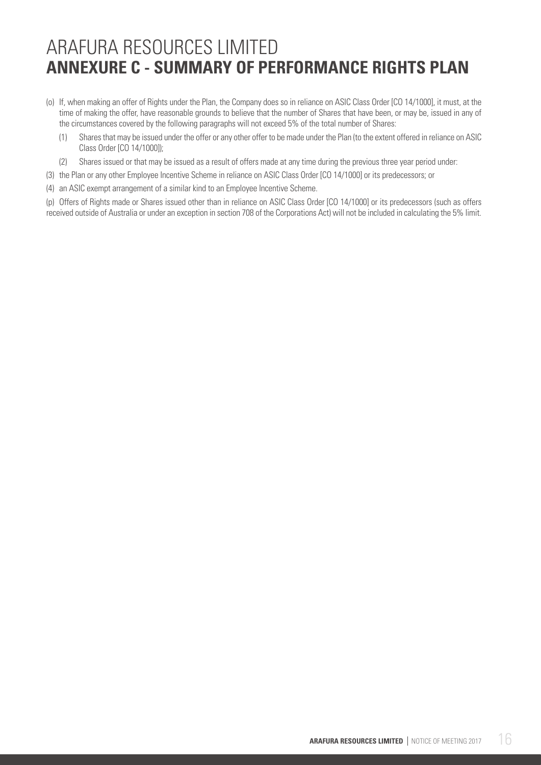# ARAFURA RESOURCES LIMITED **ANNEXURE C - SUMMARY OF PERFORMANCE RIGHTS PLAN**

- (o) If, when making an offer of Rights under the Plan, the Company does so in reliance on ASIC Class Order [CO 14/1000], it must, at the time of making the offer, have reasonable grounds to believe that the number of Shares that have been, or may be, issued in any of the circumstances covered by the following paragraphs will not exceed 5% of the total number of Shares:
	- (1) Shares that may be issued under the offer or any other offer to be made under the Plan (to the extent offered in reliance on ASIC Class Order [CO 14/1000]);
	- (2) Shares issued or that may be issued as a result of offers made at any time during the previous three year period under:
- (3) the Plan or any other Employee Incentive Scheme in reliance on ASIC Class Order [CO 14/1000] or its predecessors; or
- (4) an ASIC exempt arrangement of a similar kind to an Employee Incentive Scheme.

(p) Offers of Rights made or Shares issued other than in reliance on ASIC Class Order [CO 14/1000] or its predecessors (such as offers received outside of Australia or under an exception in section 708 of the Corporations Act) will not be included in calculating the 5% limit.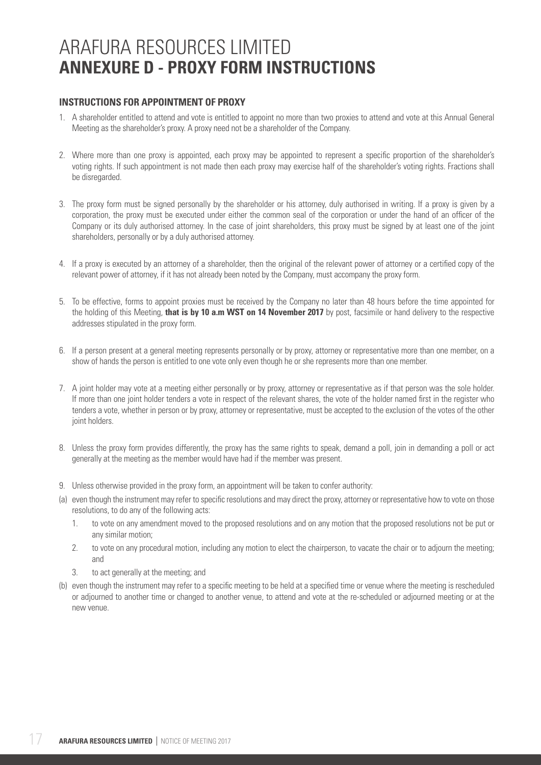# ARAFURA RESOURCES LIMITED **ANNEXURE D - PROXY FORM INSTRUCTIONS**

# **INSTRUCTIONS FOR APPOINTMENT OF PROXY**

- 1. A shareholder entitled to attend and vote is entitled to appoint no more than two proxies to attend and vote at this Annual General Meeting as the shareholder's proxy. A proxy need not be a shareholder of the Company.
- 2. Where more than one proxy is appointed, each proxy may be appointed to represent a specific proportion of the shareholder's voting rights. If such appointment is not made then each proxy may exercise half of the shareholder's voting rights. Fractions shall be disregarded.
- 3. The proxy form must be signed personally by the shareholder or his attorney, duly authorised in writing. If a proxy is given by a corporation, the proxy must be executed under either the common seal of the corporation or under the hand of an officer of the Company or its duly authorised attorney. In the case of joint shareholders, this proxy must be signed by at least one of the joint shareholders, personally or by a duly authorised attorney.
- 4. If a proxy is executed by an attorney of a shareholder, then the original of the relevant power of attorney or a certified copy of the relevant power of attorney, if it has not already been noted by the Company, must accompany the proxy form.
- 5. To be effective, forms to appoint proxies must be received by the Company no later than 48 hours before the time appointed for the holding of this Meeting, **that is by 10 a.m WST on 14 November 2017** by post, facsimile or hand delivery to the respective addresses stipulated in the proxy form.
- 6. If a person present at a general meeting represents personally or by proxy, attorney or representative more than one member, on a show of hands the person is entitled to one vote only even though he or she represents more than one member.
- 7. A joint holder may vote at a meeting either personally or by proxy, attorney or representative as if that person was the sole holder. If more than one joint holder tenders a vote in respect of the relevant shares, the vote of the holder named first in the register who tenders a vote, whether in person or by proxy, attorney or representative, must be accepted to the exclusion of the votes of the other joint holders.
- 8. Unless the proxy form provides differently, the proxy has the same rights to speak, demand a poll, join in demanding a poll or act generally at the meeting as the member would have had if the member was present.
- 9. Unless otherwise provided in the proxy form, an appointment will be taken to confer authority:
- (a) even though the instrument may refer to specific resolutions and may direct the proxy, attorney or representative how to vote on those resolutions, to do any of the following acts:
	- 1. to vote on any amendment moved to the proposed resolutions and on any motion that the proposed resolutions not be put or any similar motion;
	- 2. to vote on any procedural motion, including any motion to elect the chairperson, to vacate the chair or to adjourn the meeting; and
	- 3. to act generally at the meeting; and
- (b) even though the instrument may refer to a specific meeting to be held at a specified time or venue where the meeting is rescheduled or adjourned to another time or changed to another venue, to attend and vote at the re-scheduled or adjourned meeting or at the new venue.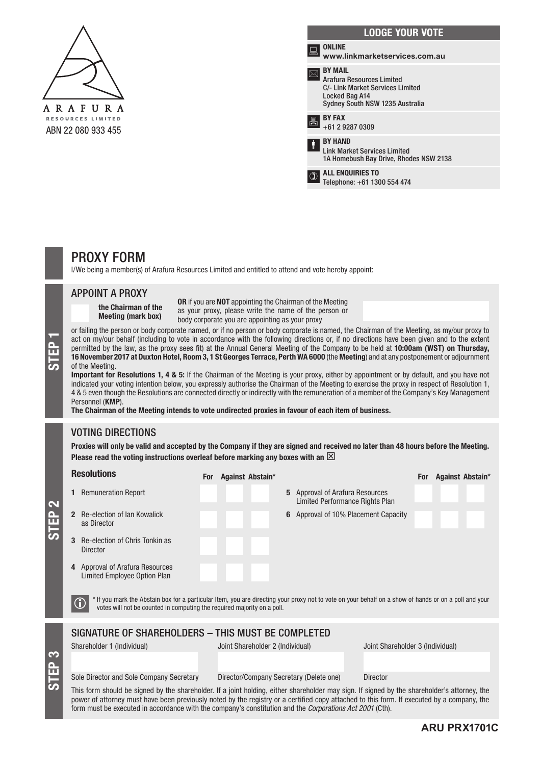

|   | <b>LODGE YOUR VOTE</b>                                                                                                                      |
|---|---------------------------------------------------------------------------------------------------------------------------------------------|
|   | <b>ONLINE</b><br>www.linkmarketservices.com.au                                                                                              |
|   | <b>BY MAIL</b><br><b>Arafura Resources Limited</b><br>C/- Link Market Services Limited<br>Locked Bag A14<br>Sydney South NSW 1235 Australia |
|   | <b>BY FAX</b><br>+61 2 9287 0309                                                                                                            |
| Ť | <b>BY HAND</b><br><b>Link Market Services Limited</b><br>1A Homebush Bay Drive, Rhodes NSW 2138                                             |
|   | <b>ALL ENQUIRIES TO</b><br>Telephone: +61 1300 554 474                                                                                      |

# PROXY FORM

I/We being a member(s) of Arafura Resources Limited and entitled to attend and vote hereby appoint:<br>

# **APPOINT A PROXY** a member (s) of Arafura Resources Limited and entitled to attend and vote hereby appoint:

the Chairman of the me Ghairman of the<br>Meeting (mark box)

OR if you are NOT appointing the Chairman of the Meeting as your proxy, please write the name of the person or body corporate you are appointing as your proxy

or failing the person or body corporate named, or if no person or body corporate is named, the Chairman of the Meeting, as my/our proxy to act on my/our behalf (including to vote in accordance with the following directions or raining the person or body corporate named, or if no person or body corporate is named, the chairman or the meeting, as my/our proxy to<br>act on my/our behalf (including to vote in accordance with the following directions permitted by the law, as the proxy sees fit) at the Annual General Meeting of the Company to be held at 10:00am (WST) on Thursday, 16 November 2017 at Duxton Hotel, Room 3, 1 St Georges Terrace, Perth WA 6000 (the Meeting) and at any postponement or adjournment of the Meeting. Figure 10.00am (WST) on Thursday,<br>16 November 2017 at Duxton Hotel, Room 3, 1 St Georges Terrace, Perth WA 6000 (the Meeting) and at any postponement or adjournment<br>of the Meeting.<br>Important for Resolutions 1, 4 & 5: If th permitted by the law, as the proxy sees fit) at the proxy sees fit, as the proxy sees fit is the Company to be held at 10:00 am (WST) on Thursday, we have held at 10:00 am (WST) on Thursday, we have held at 10:00 am (WST) the person or body corporate named, or if no person or body corporate is named, the person or body corporate is named, th

Important for Resolutions 1, 4 & 5: If the Chairman of the Meeting is your proxy, either by appointment or by default, and you have not indicated your voting intention below, you expressly authorise the Chairman of the Meeting to exercise the proxy in respect of Resolution 1, 4 & 5 even though the Resolutions are connected directly or indirectly with the remuneration of a member of the Company's Key Management Personnel (KMP). **Important for Resolutions 1, 4 & 5:** If the Chairman of the Meeting is your proxy, either by appointment or by default, and you have not  $i$ ndicated you expressly authorise the Chairman of the Meeting to exercise the proxy in respect of  $K$ 

The Chairman of the Meeting intends to vote undirected proxies in favour of each item of business.

# VOTING DIRECTIONS The Chairman of the Meeting intends to vote undirected proxies in favour of each item of business.

STEP 3

STEP 2

Proxies will only be valid and accepted by the Company if they are signed and received no later than 48 hours before the Meeting. Please read the voting instructions overleaf before marking any boxes with an  $\boxtimes$ Proxies will only be valid and accepted by the Company if they are signed and received no later than 48 hours before the Meeting.

|  | <b>Resolutions</b>                                                                                                                                                                                                                                                                                                                                                                                            | <b>For</b> | Against Abstain*                        |                                                                           |                                  | <b>For</b> | <b>Against Abstain*</b> |
|--|---------------------------------------------------------------------------------------------------------------------------------------------------------------------------------------------------------------------------------------------------------------------------------------------------------------------------------------------------------------------------------------------------------------|------------|-----------------------------------------|---------------------------------------------------------------------------|----------------------------------|------------|-------------------------|
|  | <b>Remuneration Report</b>                                                                                                                                                                                                                                                                                                                                                                                    |            |                                         | <b>5</b> Approval of Arafura Resources<br>Limited Performance Rights Plan |                                  |            |                         |
|  | Re-election of Ian Kowalick<br>as Director                                                                                                                                                                                                                                                                                                                                                                    |            |                                         | Approval of 10% Placement Capacity<br>6                                   |                                  |            |                         |
|  | Re-election of Chris Tonkin as<br><b>Director</b>                                                                                                                                                                                                                                                                                                                                                             |            |                                         |                                                                           |                                  |            |                         |
|  | Approval of Arafura Resources<br>4<br>Limited Employee Option Plan                                                                                                                                                                                                                                                                                                                                            |            |                                         |                                                                           |                                  |            |                         |
|  | * If you mark the Abstain box for a particular Item, you are directing your proxy not to vote on your behalf on a show of hands or on a poll and your<br>votes will not be counted in computing the required majority on a poll.                                                                                                                                                                              |            |                                         |                                                                           |                                  |            |                         |
|  | SIGNATURE OF SHAREHOLDERS - THIS MUST BE COMPLETED                                                                                                                                                                                                                                                                                                                                                            |            |                                         |                                                                           |                                  |            |                         |
|  | Shareholder 1 (Individual)                                                                                                                                                                                                                                                                                                                                                                                    |            | Joint Shareholder 2 (Individual)        |                                                                           | Joint Shareholder 3 (Individual) |            |                         |
|  |                                                                                                                                                                                                                                                                                                                                                                                                               |            |                                         |                                                                           |                                  |            |                         |
|  | Sole Director and Sole Company Secretary                                                                                                                                                                                                                                                                                                                                                                      |            | Director/Company Secretary (Delete one) |                                                                           | <b>Director</b>                  |            |                         |
|  | This form should be signed by the shareholder. If a joint holding, either shareholder may sign. If signed by the shareholder's attorney, the<br>power of attorney must have been previously noted by the registry or a certified copy attached to this form. If executed by a company, the<br>form must be executed in accordance with the company's constitution and the <i>Corporations Act 2001</i> (Cth). |            |                                         |                                                                           |                                  |            |                         |
|  |                                                                                                                                                                                                                                                                                                                                                                                                               |            |                                         |                                                                           |                                  |            |                         |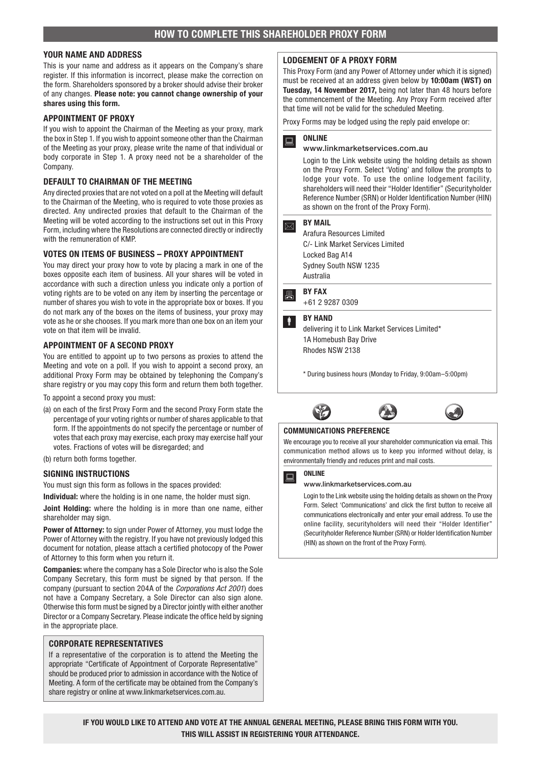#### YOUR NAME AND ADDRESS

This is your name and address as it appears on the Company's share register. If this information is incorrect, please make the correction on the form. Shareholders sponsored by a broker should advise their broker of any changes. Please note: you cannot change ownership of your shares using this form.

#### APPOINTMENT OF PROXY

If you wish to appoint the Chairman of the Meeting as your proxy, mark the box in Step 1. If you wish to appoint someone other than the Chairman of the Meeting as your proxy, please write the name of that individual or body corporate in Step 1. A proxy need not be a shareholder of the **Company** 

#### DEFAULT TO CHAIRMAN OF THE MEETING

Any directed proxies that are not voted on a poll at the Meeting will default to the Chairman of the Meeting, who is required to vote those proxies as directed. Any undirected proxies that default to the Chairman of the Meeting will be voted according to the instructions set out in this Proxy Form, including where the Resolutions are connected directly or indirectly with the remuneration of KMP.

#### VOTES ON ITEMS OF BUSINESS – PROXY APPOINTMENT

You may direct your proxy how to vote by placing a mark in one of the boxes opposite each item of business. All your shares will be voted in accordance with such a direction unless you indicate only a portion of voting rights are to be voted on any item by inserting the percentage or number of shares you wish to vote in the appropriate box or boxes. If you do not mark any of the boxes on the items of business, your proxy may vote as he or she chooses. If you mark more than one box on an item your vote on that item will be invalid.

#### APPOINTMENT OF A SECOND PROXY

You are entitled to appoint up to two persons as proxies to attend the Meeting and vote on a poll. If you wish to appoint a second proxy, an additional Proxy Form may be obtained by telephoning the Company's share registry or you may copy this form and return them both together.

To appoint a second proxy you must:

(a) on each of the first Proxy Form and the second Proxy Form state the percentage of your voting rights or number of shares applicable to that form. If the appointments do not specify the percentage or number of votes that each proxy may exercise, each proxy may exercise half your votes. Fractions of votes will be disregarded; and

(b) return both forms together.

#### SIGNING INSTRUCTIONS

You must sign this form as follows in the spaces provided:

Individual: where the holding is in one name, the holder must sign.

Joint Holding: where the holding is in more than one name, either shareholder may sign.

Power of Attorney: to sign under Power of Attorney, you must lodge the Power of Attorney with the registry. If you have not previously lodged this document for notation, please attach a certified photocopy of the Power of Attorney to this form when you return it.

Companies: where the company has a Sole Director who is also the Sole Company Secretary, this form must be signed by that person. If the company (pursuant to section 204A of the *Corporations Act 2001*) does not have a Company Secretary, a Sole Director can also sign alone. Otherwise this form must be signed by a Director jointly with either another Director or a Company Secretary. Please indicate the office held by signing in the appropriate place.

#### CORPORATE REPRESENTATIVES

If a representative of the corporation is to attend the Meeting the appropriate "Certificate of Appointment of Corporate Representative" should be produced prior to admission in accordance with the Notice of Meeting. A form of the certificate may be obtained from the Company's share registry or online at www.linkmarketservices.com.au.

#### LODGEMENT OF A PROXY FORM

This Proxy Form (and any Power of Attorney under which it is signed) must be received at an address given below by 10:00am (WST) on Tuesday, 14 November 2017, being not later than 48 hours before the commencement of the Meeting. Any Proxy Form received after that time will not be valid for the scheduled Meeting.

Proxy Forms may be lodged using the reply paid envelope or:

### $\mathbf{R}$  ONLINE

#### www.linkmarketservices.com.au

Login to the Link website using the holding details as shown on the Proxy Form. Select 'Voting' and follow the prompts to lodge your vote. To use the online lodgement facility, shareholders will need their "Holder Identifier" (Securityholder Reference Number (SRN) or Holder Identification Number (HIN) as shown on the front of the Proxy Form).

#### $\boxed{\boxtimes}$  BY MAIL

Arafura Resources Limited C/- Link Market Services Limited Locked Bag A14 Sydney South NSW 1235 Australia

**A**BY FAX

+61 2 9287 0309

### **BY HAND**

delivering it to Link Market Services Limited\* 1A Homebush Bay Drive Rhodes NSW 2138

\* During business hours (Monday to Friday, 9:00am–5:00pm)



#### COMMUNICATIONS PREFERENCE

We encourage you to receive all your shareholder communication via email. This communication method allows us to keep you informed without delay, is environmentally friendly and reduces print and mail costs.



#### www.linkmarketservices.com.au

Login to the Link website using the holding details as shown on the Proxy Form. Select 'Communications' and click the first button to receive all communications electronically and enter your email address. To use the online facility, securityholders will need their "Holder Identifier" (Securityholder Reference Number (SRN) or Holder Identification Number (HIN) as shown on the front of the Proxy Form).

IF YOU WOULD LIKE TO ATTEND AND VOTE AT THE ANNUAL GENERAL MEETING, PLEASE BRING THIS FORM WITH YOU. THIS WILL ASSIST IN REGISTERING YOUR ATTENDANCE.